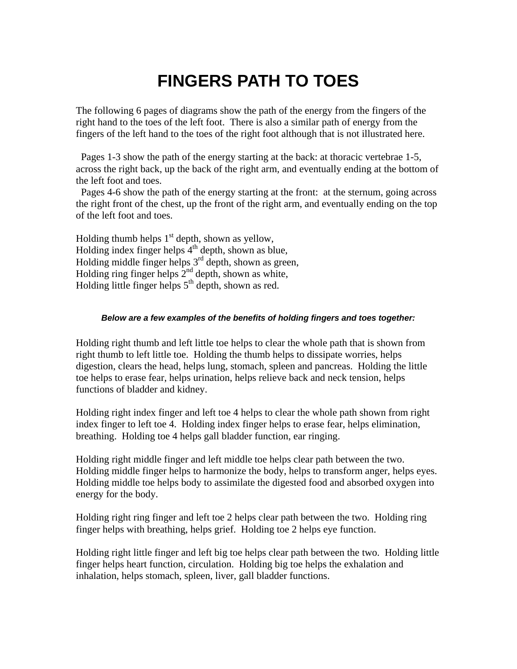# **FINGERS PATH TO TOES**

The following 6 pages of diagrams show the path of the energy from the fingers of the right hand to the toes of the left foot. There is also a similar path of energy from the fingers of the left hand to the toes of the right foot although that is not illustrated here.

 Pages 1-3 show the path of the energy starting at the back: at thoracic vertebrae 1-5, across the right back, up the back of the right arm, and eventually ending at the bottom of the left foot and toes.

 Pages 4-6 show the path of the energy starting at the front: at the sternum, going across the right front of the chest, up the front of the right arm, and eventually ending on the top of the left foot and toes.

Holding thumb helps  $1<sup>st</sup>$  depth, shown as yellow, Holding index finger helps  $4<sup>th</sup>$  depth, shown as blue, Holding middle finger helps  $3<sup>rd</sup>$  depth, shown as green, Holding ring finger helps  $2<sup>nd</sup>$  depth, shown as white, Holding little finger helps  $5<sup>th</sup>$  depth, shown as red.

#### *Below are a few examples of the benefits of holding fingers and toes together:*

Holding right thumb and left little toe helps to clear the whole path that is shown from right thumb to left little toe. Holding the thumb helps to dissipate worries, helps digestion, clears the head, helps lung, stomach, spleen and pancreas. Holding the little toe helps to erase fear, helps urination, helps relieve back and neck tension, helps functions of bladder and kidney.

Holding right index finger and left toe 4 helps to clear the whole path shown from right index finger to left toe 4. Holding index finger helps to erase fear, helps elimination, breathing. Holding toe 4 helps gall bladder function, ear ringing.

Holding right middle finger and left middle toe helps clear path between the two. Holding middle finger helps to harmonize the body, helps to transform anger, helps eyes. Holding middle toe helps body to assimilate the digested food and absorbed oxygen into energy for the body.

Holding right ring finger and left toe 2 helps clear path between the two. Holding ring finger helps with breathing, helps grief. Holding toe 2 helps eye function.

Holding right little finger and left big toe helps clear path between the two. Holding little finger helps heart function, circulation. Holding big toe helps the exhalation and inhalation, helps stomach, spleen, liver, gall bladder functions.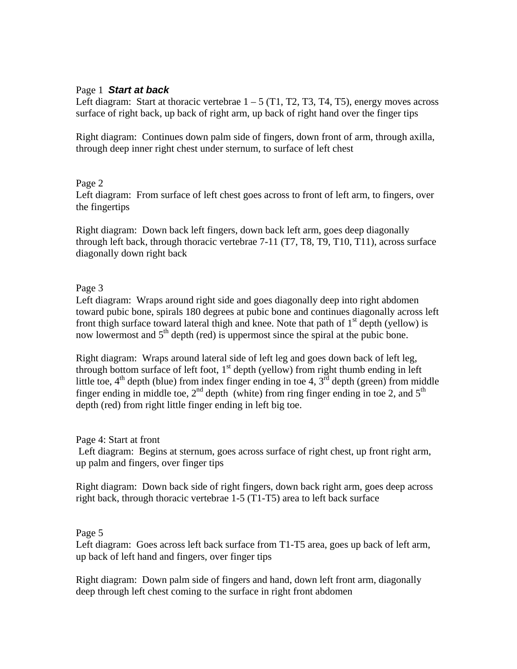## Page 1 *Start at back*

Left diagram: Start at thoracic vertebrae  $1 - 5$  (T1, T2, T3, T4, T5), energy moves across surface of right back, up back of right arm, up back of right hand over the finger tips

Right diagram: Continues down palm side of fingers, down front of arm, through axilla, through deep inner right chest under sternum, to surface of left chest

### Page 2

Left diagram: From surface of left chest goes across to front of left arm, to fingers, over the fingertips

Right diagram: Down back left fingers, down back left arm, goes deep diagonally through left back, through thoracic vertebrae 7-11 (T7, T8, T9, T10, T11), across surface diagonally down right back

## Page 3

Left diagram: Wraps around right side and goes diagonally deep into right abdomen toward pubic bone, spirals 180 degrees at pubic bone and continues diagonally across left front thigh surface toward lateral thigh and knee. Note that path of  $1<sup>st</sup>$  depth (yellow) is now lowermost and  $5<sup>th</sup>$  depth (red) is uppermost since the spiral at the pubic bone.

Right diagram: Wraps around lateral side of left leg and goes down back of left leg, through bottom surface of left foot,  $1<sup>st</sup>$  depth (yellow) from right thumb ending in left little toe,  $4<sup>th</sup>$  depth (blue) from index finger ending in toe 4,  $3<sup>rd</sup>$  depth (green) from middle finger ending in middle toe,  $2<sup>nd</sup>$  depth (white) from ring finger ending in toe 2, and  $5<sup>th</sup>$ depth (red) from right little finger ending in left big toe.

Page 4: Start at front

 Left diagram: Begins at sternum, goes across surface of right chest, up front right arm, up palm and fingers, over finger tips

Right diagram: Down back side of right fingers, down back right arm, goes deep across right back, through thoracic vertebrae 1-5 (T1-T5) area to left back surface

### Page 5

Left diagram: Goes across left back surface from T1-T5 area, goes up back of left arm, up back of left hand and fingers, over finger tips

Right diagram: Down palm side of fingers and hand, down left front arm, diagonally deep through left chest coming to the surface in right front abdomen